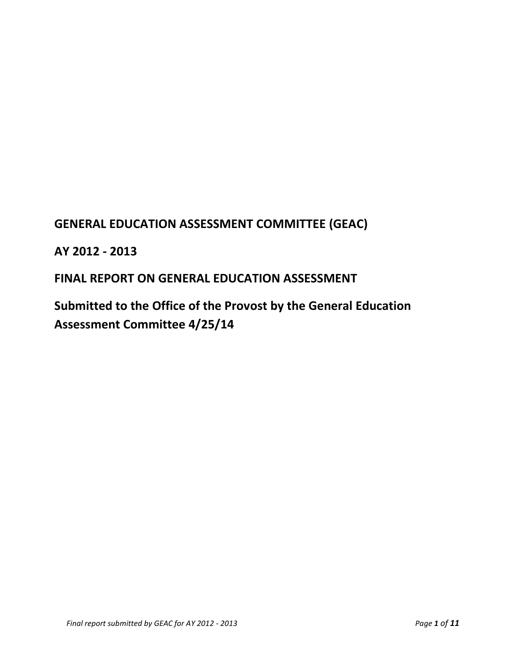# **GENERAL EDUCATION ASSESSMENT COMMITTEE (GEAC)**

## **AY 2012 - 2013**

**FINAL REPORT ON GENERAL EDUCATION ASSESSMENT**

**Submitted to the Office of the Provost by the General Education Assessment Committee 4/25/14**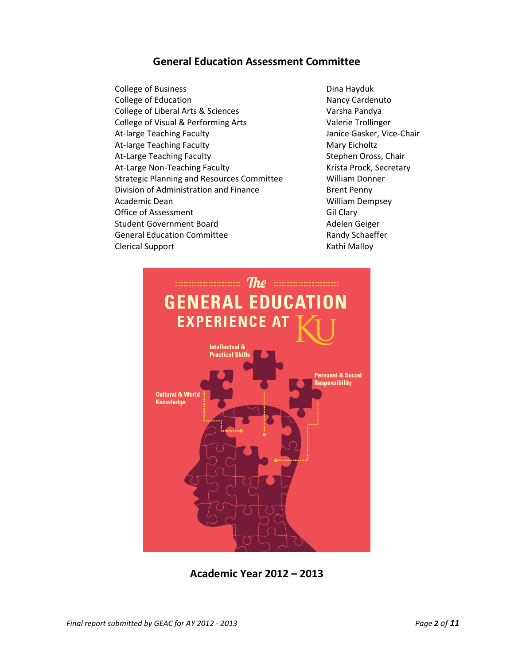### **General Education Assessment Committee**

College of Business **Dina Hayduk** Dina Hayduk College of Education Nancy Cardenuto College of Liberal Arts & Sciences Varsha Pandya College of Visual & Performing Arts Valerie Trollinger At-large Teaching Faculty **Accord Faculty** Janice Gasker, Vice-Chair At-large Teaching Faculty Mary Eicholtz At-Large Teaching Faculty **Stephen Oross**, Chair At-Large Non-Teaching Faculty Manuel At-Large Non-Teaching Faculty Strategic Planning and Resources Committee William Donner Division of Administration and Finance Brent Penny Academic Dean Nulliam Dempsey Office of Assessment Gil Clary Student Government Board Adelen Geiger General Education Committee **Randy Schaeffer** Clerical Support **Kathi Malloy** Kathi Malloy



**Academic Year 2012 – 2013**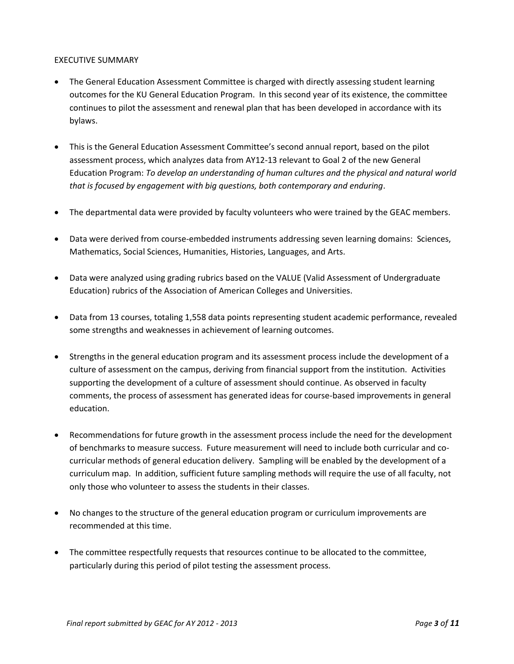#### EXECUTIVE SUMMARY

- The General Education Assessment Committee is charged with directly assessing student learning outcomes for the KU General Education Program. In this second year of its existence, the committee continues to pilot the assessment and renewal plan that has been developed in accordance with its bylaws.
- This is the General Education Assessment Committee's second annual report, based on the pilot assessment process, which analyzes data from AY12-13 relevant to Goal 2 of the new General Education Program: *To develop an understanding of human cultures and the physical and natural world that is focused by engagement with big questions, both contemporary and enduring*.
- The departmental data were provided by faculty volunteers who were trained by the GEAC members.
- Data were derived from course-embedded instruments addressing seven learning domains: Sciences, Mathematics, Social Sciences, Humanities, Histories, Languages, and Arts.
- Data were analyzed using grading rubrics based on the VALUE (Valid Assessment of Undergraduate Education) rubrics of the Association of American Colleges and Universities.
- Data from 13 courses, totaling 1,558 data points representing student academic performance, revealed some strengths and weaknesses in achievement of learning outcomes.
- Strengths in the general education program and its assessment process include the development of a culture of assessment on the campus, deriving from financial support from the institution. Activities supporting the development of a culture of assessment should continue. As observed in faculty comments, the process of assessment has generated ideas for course-based improvements in general education.
- Recommendations for future growth in the assessment process include the need for the development of benchmarks to measure success. Future measurement will need to include both curricular and cocurricular methods of general education delivery. Sampling will be enabled by the development of a curriculum map. In addition, sufficient future sampling methods will require the use of all faculty, not only those who volunteer to assess the students in their classes.
- No changes to the structure of the general education program or curriculum improvements are recommended at this time.
- The committee respectfully requests that resources continue to be allocated to the committee, particularly during this period of pilot testing the assessment process.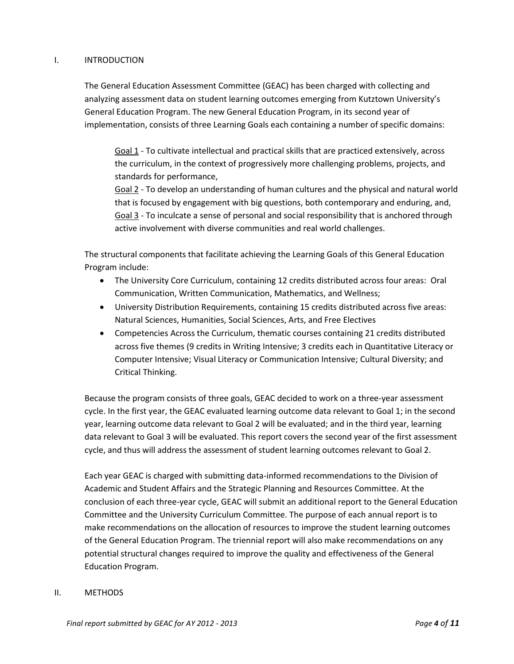#### I. INTRODUCTION

The General Education Assessment Committee (GEAC) has been charged with collecting and analyzing assessment data on student learning outcomes emerging from Kutztown University's General Education Program. The new General Education Program, in its second year of implementation, consists of three Learning Goals each containing a number of specific domains:

Goal 1 - To cultivate intellectual and practical skills that are practiced extensively, across the curriculum, in the context of progressively more challenging problems, projects, and standards for performance,

Goal 2 - To develop an understanding of human cultures and the physical and natural world that is focused by engagement with big questions, both contemporary and enduring, and, Goal 3 - To inculcate a sense of personal and social responsibility that is anchored through active involvement with diverse communities and real world challenges.

The structural components that facilitate achieving the Learning Goals of this General Education Program include:

- The University Core Curriculum, containing 12 credits distributed across four areas: Oral Communication, Written Communication, Mathematics, and Wellness;
- University Distribution Requirements, containing 15 credits distributed across five areas: Natural Sciences, Humanities, Social Sciences, Arts, and Free Electives
- Competencies Across the Curriculum, thematic courses containing 21 credits distributed across five themes (9 credits in Writing Intensive; 3 credits each in Quantitative Literacy or Computer Intensive; Visual Literacy or Communication Intensive; Cultural Diversity; and Critical Thinking.

Because the program consists of three goals, GEAC decided to work on a three-year assessment cycle. In the first year, the GEAC evaluated learning outcome data relevant to Goal 1; in the second year, learning outcome data relevant to Goal 2 will be evaluated; and in the third year, learning data relevant to Goal 3 will be evaluated. This report covers the second year of the first assessment cycle, and thus will address the assessment of student learning outcomes relevant to Goal 2.

Each year GEAC is charged with submitting data-informed recommendations to the Division of Academic and Student Affairs and the Strategic Planning and Resources Committee. At the conclusion of each three-year cycle, GEAC will submit an additional report to the General Education Committee and the University Curriculum Committee. The purpose of each annual report is to make recommendations on the allocation of resources to improve the student learning outcomes of the General Education Program. The triennial report will also make recommendations on any potential structural changes required to improve the quality and effectiveness of the General Education Program.

#### II. METHODS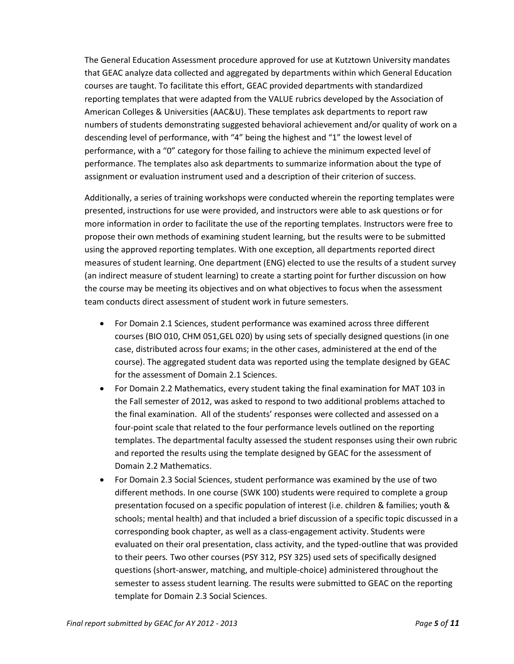The General Education Assessment procedure approved for use at Kutztown University mandates that GEAC analyze data collected and aggregated by departments within which General Education courses are taught. To facilitate this effort, GEAC provided departments with standardized reporting templates that were adapted from the VALUE rubrics developed by the Association of American Colleges & Universities (AAC&U). These templates ask departments to report raw numbers of students demonstrating suggested behavioral achievement and/or quality of work on a descending level of performance, with "4" being the highest and "1" the lowest level of performance, with a "0" category for those failing to achieve the minimum expected level of performance. The templates also ask departments to summarize information about the type of assignment or evaluation instrument used and a description of their criterion of success.

Additionally, a series of training workshops were conducted wherein the reporting templates were presented, instructions for use were provided, and instructors were able to ask questions or for more information in order to facilitate the use of the reporting templates. Instructors were free to propose their own methods of examining student learning, but the results were to be submitted using the approved reporting templates. With one exception, all departments reported direct measures of student learning. One department (ENG) elected to use the results of a student survey (an indirect measure of student learning) to create a starting point for further discussion on how the course may be meeting its objectives and on what objectives to focus when the assessment team conducts direct assessment of student work in future semesters.

- For Domain 2.1 Sciences, student performance was examined across three different courses (BIO 010, CHM 051,GEL 020) by using sets of specially designed questions (in one case, distributed across four exams; in the other cases, administered at the end of the course). The aggregated student data was reported using the template designed by GEAC for the assessment of Domain 2.1 Sciences.
- For Domain 2.2 Mathematics, every student taking the final examination for MAT 103 in the Fall semester of 2012, was asked to respond to two additional problems attached to the final examination. All of the students' responses were collected and assessed on a four-point scale that related to the four performance levels outlined on the reporting templates. The departmental faculty assessed the student responses using their own rubric and reported the results using the template designed by GEAC for the assessment of Domain 2.2 Mathematics.
- For Domain 2.3 Social Sciences, student performance was examined by the use of two different methods. In one course (SWK 100) students were required to complete a group presentation focused on a specific population of interest (i.e. children & families; youth & schools; mental health) and that included a brief discussion of a specific topic discussed in a corresponding book chapter, as well as a class-engagement activity. Students were evaluated on their oral presentation, class activity, and the typed-outline that was provided to their peers*.* Two other courses (PSY 312, PSY 325) used sets of specifically designed questions (short-answer, matching, and multiple-choice) administered throughout the semester to assess student learning. The results were submitted to GEAC on the reporting template for Domain 2.3 Social Sciences.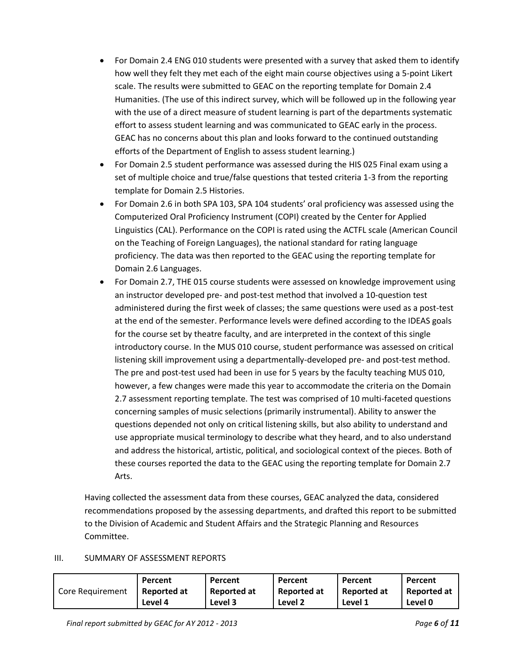- For Domain 2.4 ENG 010 students were presented with a survey that asked them to identify how well they felt they met each of the eight main course objectives using a 5-point Likert scale. The results were submitted to GEAC on the reporting template for Domain 2.4 Humanities. (The use of this indirect survey, which will be followed up in the following year with the use of a direct measure of student learning is part of the departments systematic effort to assess student learning and was communicated to GEAC early in the process. GEAC has no concerns about this plan and looks forward to the continued outstanding efforts of the Department of English to assess student learning.)
- For Domain 2.5 student performance was assessed during the HIS 025 Final exam using a set of multiple choice and true/false questions that tested criteria 1-3 from the reporting template for Domain 2.5 Histories.
- For Domain 2.6 in both SPA 103, SPA 104 students' oral proficiency was assessed using the Computerized Oral Proficiency Instrument (COPI) created by the Center for Applied Linguistics (CAL). Performance on the COPI is rated using the ACTFL scale (American Council on the Teaching of Foreign Languages), the national standard for rating language proficiency. The data was then reported to the GEAC using the reporting template for Domain 2.6 Languages.
- For Domain 2.7, THE 015 course students were assessed on knowledge improvement using an instructor developed pre- and post-test method that involved a 10-question test administered during the first week of classes; the same questions were used as a post-test at the end of the semester. Performance levels were defined according to the IDEAS goals for the course set by theatre faculty, and are interpreted in the context of this single introductory course. In the MUS 010 course, student performance was assessed on critical listening skill improvement using a departmentally-developed pre- and post-test method. The pre and post-test used had been in use for 5 years by the faculty teaching MUS 010, however, a few changes were made this year to accommodate the criteria on the Domain 2.7 assessment reporting template. The test was comprised of 10 multi-faceted questions concerning samples of music selections (primarily instrumental). Ability to answer the questions depended not only on critical listening skills, but also ability to understand and use appropriate musical terminology to describe what they heard, and to also understand and address the historical, artistic, political, and sociological context of the pieces. Both of these courses reported the data to the GEAC using the reporting template for Domain 2.7 Arts.

Having collected the assessment data from these courses, GEAC analyzed the data, considered recommendations proposed by the assessing departments, and drafted this report to be submitted to the Division of Academic and Student Affairs and the Strategic Planning and Resources Committee.

#### III. SUMMARY OF ASSESSMENT REPORTS

|                  | Percent            | <b>Percent</b> | Percent     | Percent     | Percent     |
|------------------|--------------------|----------------|-------------|-------------|-------------|
| Core Requirement | <b>Reported at</b> | Reported at    | Reported at | Reported at | Reported at |
|                  | Level 4            | Level 3        | Level 2     | Level 1     | Level 0     |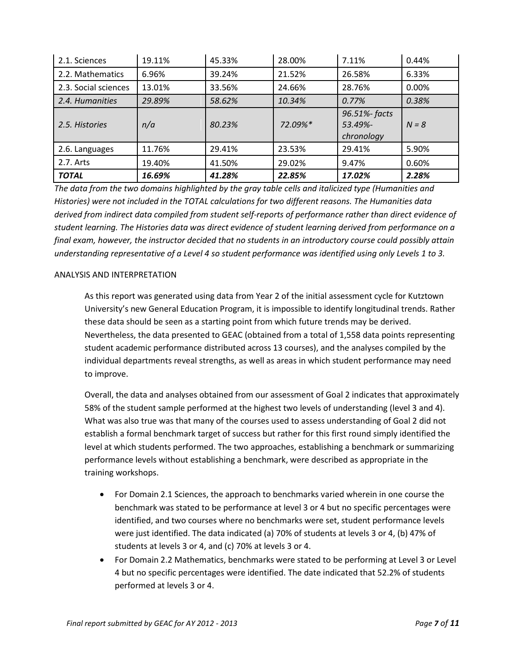| 2.1. Sciences        | 19.11% | 45.33% | 28.00%  | 7.11%                                 | 0.44%   |
|----------------------|--------|--------|---------|---------------------------------------|---------|
| 2.2. Mathematics     | 6.96%  | 39.24% | 21.52%  | 26.58%                                | 6.33%   |
| 2.3. Social sciences | 13.01% | 33.56% | 24.66%  | 28.76%                                | 0.00%   |
| 2.4. Humanities      | 29.89% | 58.62% | 10.34%  | 0.77%                                 | 0.38%   |
| 2.5. Histories       | n/a    | 80.23% | 72.09%* | 96.51%-facts<br>53.49%-<br>chronology | $N = 8$ |
| 2.6. Languages       | 11.76% | 29.41% | 23.53%  | 29.41%                                | 5.90%   |
| 2.7. Arts            | 19.40% | 41.50% | 29.02%  | 9.47%                                 | 0.60%   |
| <b>TOTAL</b>         | 16.69% | 41.28% | 22.85%  | 17.02%                                | 2.28%   |

*The data from the two domains highlighted by the gray table cells and italicized type (Humanities and Histories) were not included in the TOTAL calculations for two different reasons. The Humanities data derived from indirect data compiled from student self-reports of performance rather than direct evidence of student learning. The Histories data was direct evidence of student learning derived from performance on a final exam, however, the instructor decided that no students in an introductory course could possibly attain understanding representative of a Level 4 so student performance was identified using only Levels 1 to 3.*

#### ANALYSIS AND INTERPRETATION

As this report was generated using data from Year 2 of the initial assessment cycle for Kutztown University's new General Education Program, it is impossible to identify longitudinal trends. Rather these data should be seen as a starting point from which future trends may be derived. Nevertheless, the data presented to GEAC (obtained from a total of 1,558 data points representing student academic performance distributed across 13 courses), and the analyses compiled by the individual departments reveal strengths, as well as areas in which student performance may need to improve.

Overall, the data and analyses obtained from our assessment of Goal 2 indicates that approximately 58% of the student sample performed at the highest two levels of understanding (level 3 and 4). What was also true was that many of the courses used to assess understanding of Goal 2 did not establish a formal benchmark target of success but rather for this first round simply identified the level at which students performed. The two approaches, establishing a benchmark or summarizing performance levels without establishing a benchmark, were described as appropriate in the training workshops.

- For Domain 2.1 Sciences, the approach to benchmarks varied wherein in one course the benchmark was stated to be performance at level 3 or 4 but no specific percentages were identified, and two courses where no benchmarks were set, student performance levels were just identified. The data indicated (a) 70% of students at levels 3 or 4, (b) 47% of students at levels 3 or 4, and (c) 70% at levels 3 or 4.
- For Domain 2.2 Mathematics, benchmarks were stated to be performing at Level 3 or Level 4 but no specific percentages were identified. The date indicated that 52.2% of students performed at levels 3 or 4.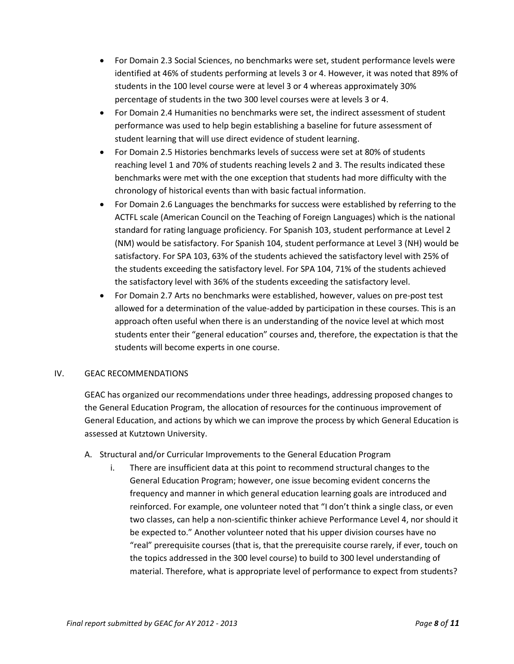- For Domain 2.3 Social Sciences, no benchmarks were set, student performance levels were identified at 46% of students performing at levels 3 or 4. However, it was noted that 89% of students in the 100 level course were at level 3 or 4 whereas approximately 30% percentage of students in the two 300 level courses were at levels 3 or 4.
- For Domain 2.4 Humanities no benchmarks were set, the indirect assessment of student performance was used to help begin establishing a baseline for future assessment of student learning that will use direct evidence of student learning.
- For Domain 2.5 Histories benchmarks levels of success were set at 80% of students reaching level 1 and 70% of students reaching levels 2 and 3. The results indicated these benchmarks were met with the one exception that students had more difficulty with the chronology of historical events than with basic factual information.
- For Domain 2.6 Languages the benchmarks for success were established by referring to the ACTFL scale (American Council on the Teaching of Foreign Languages) which is the national standard for rating language proficiency. For Spanish 103, student performance at Level 2 (NM) would be satisfactory. For Spanish 104, student performance at Level 3 (NH) would be satisfactory. For SPA 103, 63% of the students achieved the satisfactory level with 25% of the students exceeding the satisfactory level. For SPA 104, 71% of the students achieved the satisfactory level with 36% of the students exceeding the satisfactory level.
- For Domain 2.7 Arts no benchmarks were established, however, values on pre-post test allowed for a determination of the value-added by participation in these courses. This is an approach often useful when there is an understanding of the novice level at which most students enter their "general education" courses and, therefore, the expectation is that the students will become experts in one course.

#### IV. GEAC RECOMMENDATIONS

GEAC has organized our recommendations under three headings, addressing proposed changes to the General Education Program, the allocation of resources for the continuous improvement of General Education, and actions by which we can improve the process by which General Education is assessed at Kutztown University.

- A. Structural and/or Curricular Improvements to the General Education Program
	- i. There are insufficient data at this point to recommend structural changes to the General Education Program; however, one issue becoming evident concerns the frequency and manner in which general education learning goals are introduced and reinforced. For example, one volunteer noted that "I don't think a single class, or even two classes, can help a non-scientific thinker achieve Performance Level 4, nor should it be expected to." Another volunteer noted that his upper division courses have no "real" prerequisite courses (that is, that the prerequisite course rarely, if ever, touch on the topics addressed in the 300 level course) to build to 300 level understanding of material. Therefore, what is appropriate level of performance to expect from students?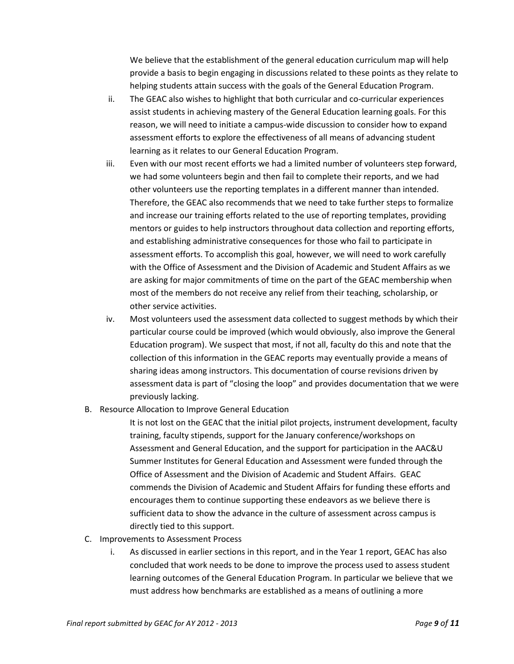We believe that the establishment of the general education curriculum map will help provide a basis to begin engaging in discussions related to these points as they relate to helping students attain success with the goals of the General Education Program.

- ii. The GEAC also wishes to highlight that both curricular and co-curricular experiences assist students in achieving mastery of the General Education learning goals. For this reason, we will need to initiate a campus-wide discussion to consider how to expand assessment efforts to explore the effectiveness of all means of advancing student learning as it relates to our General Education Program.
- iii. Even with our most recent efforts we had a limited number of volunteers step forward, we had some volunteers begin and then fail to complete their reports, and we had other volunteers use the reporting templates in a different manner than intended. Therefore, the GEAC also recommends that we need to take further steps to formalize and increase our training efforts related to the use of reporting templates, providing mentors or guides to help instructors throughout data collection and reporting efforts, and establishing administrative consequences for those who fail to participate in assessment efforts. To accomplish this goal, however, we will need to work carefully with the Office of Assessment and the Division of Academic and Student Affairs as we are asking for major commitments of time on the part of the GEAC membership when most of the members do not receive any relief from their teaching, scholarship, or other service activities.
- iv. Most volunteers used the assessment data collected to suggest methods by which their particular course could be improved (which would obviously, also improve the General Education program). We suspect that most, if not all, faculty do this and note that the collection of this information in the GEAC reports may eventually provide a means of sharing ideas among instructors. This documentation of course revisions driven by assessment data is part of "closing the loop" and provides documentation that we were previously lacking.
- B. Resource Allocation to Improve General Education

It is not lost on the GEAC that the initial pilot projects, instrument development, faculty training, faculty stipends, support for the January conference/workshops on Assessment and General Education, and the support for participation in the AAC&U Summer Institutes for General Education and Assessment were funded through the Office of Assessment and the Division of Academic and Student Affairs. GEAC commends the Division of Academic and Student Affairs for funding these efforts and encourages them to continue supporting these endeavors as we believe there is sufficient data to show the advance in the culture of assessment across campus is directly tied to this support.

- C. Improvements to Assessment Process
	- i. As discussed in earlier sections in this report, and in the Year 1 report, GEAC has also concluded that work needs to be done to improve the process used to assess student learning outcomes of the General Education Program. In particular we believe that we must address how benchmarks are established as a means of outlining a more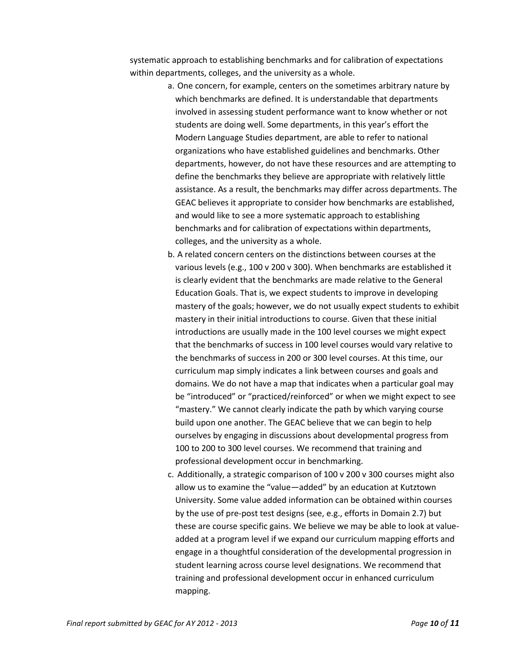systematic approach to establishing benchmarks and for calibration of expectations within departments, colleges, and the university as a whole.

- a. One concern, for example, centers on the sometimes arbitrary nature by which benchmarks are defined. It is understandable that departments involved in assessing student performance want to know whether or not students are doing well. Some departments, in this year's effort the Modern Language Studies department, are able to refer to national organizations who have established guidelines and benchmarks. Other departments, however, do not have these resources and are attempting to define the benchmarks they believe are appropriate with relatively little assistance. As a result, the benchmarks may differ across departments. The GEAC believes it appropriate to consider how benchmarks are established, and would like to see a more systematic approach to establishing benchmarks and for calibration of expectations within departments, colleges, and the university as a whole.
- b. A related concern centers on the distinctions between courses at the various levels (e.g., 100 v 200 v 300). When benchmarks are established it is clearly evident that the benchmarks are made relative to the General Education Goals. That is, we expect students to improve in developing mastery of the goals; however, we do not usually expect students to exhibit mastery in their initial introductions to course. Given that these initial introductions are usually made in the 100 level courses we might expect that the benchmarks of success in 100 level courses would vary relative to the benchmarks of success in 200 or 300 level courses. At this time, our curriculum map simply indicates a link between courses and goals and domains. We do not have a map that indicates when a particular goal may be "introduced" or "practiced/reinforced" or when we might expect to see "mastery." We cannot clearly indicate the path by which varying course build upon one another. The GEAC believe that we can begin to help ourselves by engaging in discussions about developmental progress from 100 to 200 to 300 level courses. We recommend that training and professional development occur in benchmarking.
- c. Additionally, a strategic comparison of 100 v 200 v 300 courses might also allow us to examine the "value—added" by an education at Kutztown University. Some value added information can be obtained within courses by the use of pre-post test designs (see, e.g., efforts in Domain 2.7) but these are course specific gains. We believe we may be able to look at valueadded at a program level if we expand our curriculum mapping efforts and engage in a thoughtful consideration of the developmental progression in student learning across course level designations. We recommend that training and professional development occur in enhanced curriculum mapping.